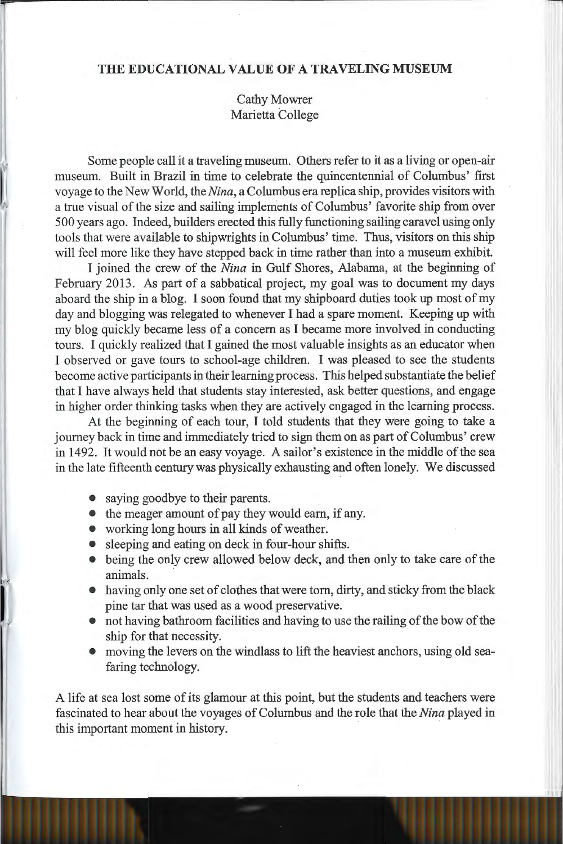## **THE EDUCATIONAL VALUE OF A TRAVELING MUSEUM**

Cathy Mowrer Marietta College

Some people call it a traveling museum. Others refer to it as a living or open-air museum. Built in Brazil in time to celebrate the quincentennial of Columbus' first voyage to the New World, the *Nina,* a Columbus era replica ship, provides visitors with a true visual of the size and sailing implements of Columbus' favorite ship from over 500 years ago. Indeed, builders erected this fully functioning sailing caravel using only tools that were available to shipwrights in Columbus' time. Thus, visitors on this ship will feel more like they have stepped back in time rather than into a museum exhibit.

I joined the crew of the *Nina* in Gulf Shores, Alabama, at the beginning of February 2013. As part of a sabbatical project, my goal was to document my days aboard the ship in a blog. I soon found that my shipboard duties took up most of my day and blogging was relegated to whenever I had a spare moment. Keeping up with my blog quickly became less of a concern as I became more involved in conducting tours. I quickly realized that I gained the most valuable insights as an educator when I observed or gave tours to school-age children. I was pleased to see the students become active participants in their learning process. This helped substantiate the belief that I have always held that students stay interested, ask better questions, and engage in higher order thinking tasks when they are actively engaged in the learning process.

At the beginning of each tour, I told students that they were going to take a journey back in time and immediately tried to sign them on as part of Columbus' crew in 1492. It would not be an easy voyage. A sailor's existence in the middle of the sea in the late fifteenth century was physically exhausting and often lonely. We discussed

- saying goodbye to their parents.
- the meager amount of pay they would earn, if any.
- working long hours in all kinds of weather.
- sleeping and eating on deck in four-hour shifts.
- being the only crew allowed below deck, and then only to take care of the animals.
- having only one set of clothes that were tom, dirty, and sticky from the black pine tar that was used as a wood preservative.
- not having bathroom facilities and having to use the railing of the bow of the ship for that necessity.
- moving the levers on the windlass to lift the heaviest anchors, using old seafaring technology.

A life at sea lost some of its glamour at this point, but the students and teachers were fascinated to hear about the voyages of Columbus and the role that the *Nina* played in this important moment in history.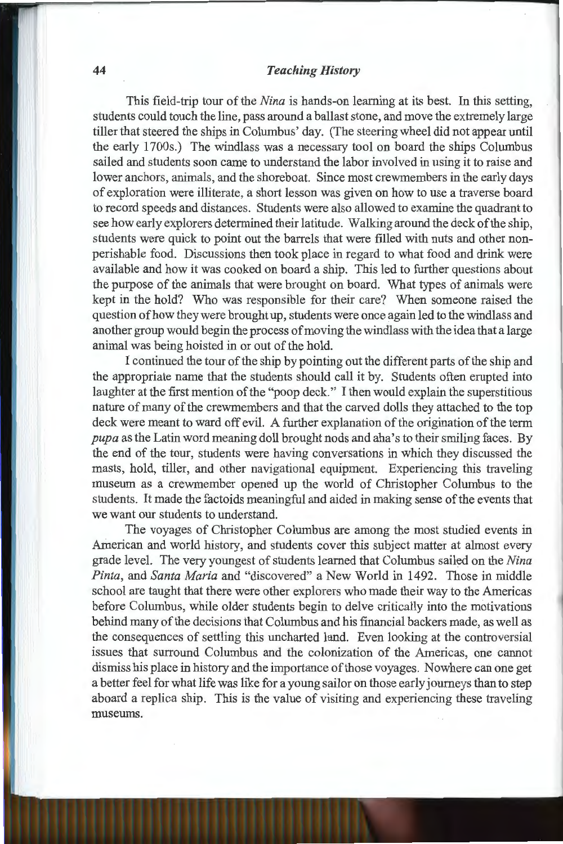#### **44** *Teaching History*

This field-trip tour of the *Nina* is hands-on learning at its best. In this setting, students could touch the line, pass around a ballast stone, and move the extremely large tiller that steered the ships in Columbus' day. (The steering wheel did not appear until the early 1700s.) The windlass was a necessary tool on board the ships Columbus sailed and students soon came to understand the labor involved in using it to raise and lower anchors, animals, and the shoreboat. Since most crewmembers in the early days of exploration were illiterate, a short lesson was given on how to use a traverse board to record speeds and distances. Students were also allowed to examine the quadrant to see how early explorers determined their latitude. Walking around the deck of the ship, students were quick to point out the barrels that were filled with nuts and other nonperishable food. Discussions then took place in regard to what food and drink were available and how it was cooked on board a ship. This led to further questions about the purpose of the animals that were brought on board. What types of animals were kept in the hold? Who was responsible for their care? When someone raised the question of how they were brought up, students were once again led to the windlass and another group would begin the process of moving the windlass with the idea that a large animal was being hoisted in or out of the hold.

I continued the tour of the ship by pointing out the different parts of the ship and the appropriate name that the students should call it by. Students often erupted into laughter at the first mention of the "poop deck." I then would explain the superstitious nature of many of the crewmembers and that the carved dolls they attached to the top deck were meant to ward off evil. A further explanation of the origination of the term *pupa* as the Latin word meaning doll brought nods and aha's to their smiling faces. By the end of the tour, students were having conversations in which they discussed the masts, hold, tiller, and other navigational equipment. Experiencing this traveling museum as a crewmember opened up the world of Christopher Columbus to the students. It made the factoids meaningful and aided in making sense of the events that we want our students to understand.

The voyages of Christopher Columbus are among the most studied events in American and world history, and students cover this subject matter at almost every grade level. The very youngest of students learned that Columbus sailed on the *Nina Pinta,* and *Santa Maria* and "discovered" a New World in 1492. Those in middle school are taught that there were other explorers who made their way to the Americas before Columbus, while older students begin to delve critically into the motivations behind many of the decisions that Columbus and his financial backers made, as well as the consequences of settling this uncharted land. Even looking at the controversial issues that surround Columbus and the colonization of the Americas, one cannot dismiss his place in history and the importance of those voyages. Nowhere can one get a better feel for what life was like for a young sailor on those early journeys than to step aboard a replica ship. This is the value of visiting and experiencing these traveling museums.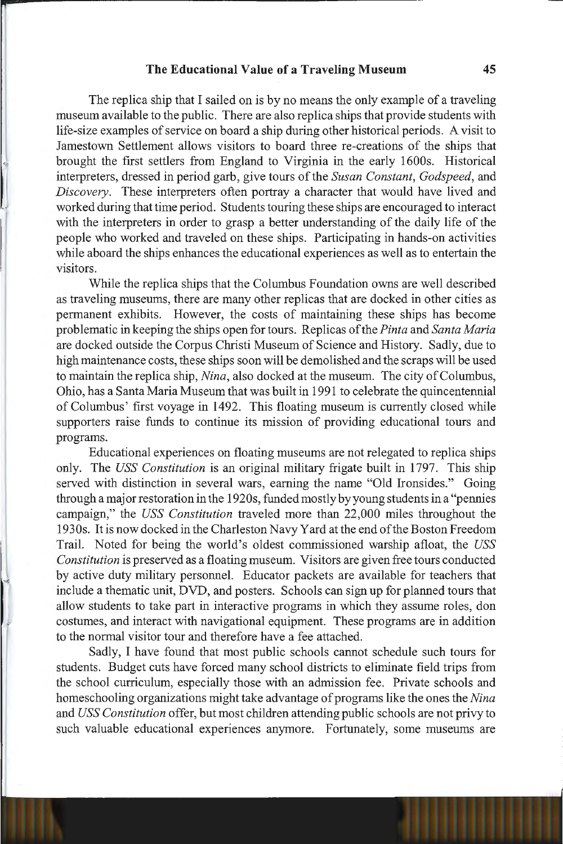#### **The Educational Value of a Traveling Museum 45**

The replica ship that I sailed on is by no means the only example of a traveling museum available to the public. There are also replica ships that provide students with life-size examples of service on board a ship during other historical periods. A visit to Jamestown Settlement allows visitors to board three re-creations of the ships that brought the first settlers from England to Virginia in the early 1600s. Historical interpreters, dressed in period garb, give tours of the *Susan Constant, Godspeed,* and *Discovery.* These interpreters often portray a character that would have lived and worked during that time period. Students touring these ships are encouraged to interact with the interpreters in order to grasp a better understanding of the daily life of the people who worked and traveled on these ships. Participating in hands-on activities while aboard the ships enhances the educational experiences as well as to entertain the visitors.

While the replica ships that the Columbus Foundation owns are well described as traveling museums, there are many other replicas that are docked in other cities as permanent exhibits. However, the costs of maintaining these ships has become problematic in keeping the ships open for tours. Replicas of the *Pinta* and *Santa Maria*  are docked outside the Corpus Christi Museum of Science and History. Sadly, due to high maintenance costs, these ships soon will be demolished and the scraps will be used to maintain the replica ship, *Nina,* also docked at the museum. The city of Columbus, Ohio, has a Santa Maria Museum that was built in 1991 to celebrate the quincentennial of Columbus' first voyage in 1492. This floating museum is currently closed while supporters raise funds to continue its mission of providing educational tours and programs.

Educational experiences on floating museums are not relegated to replica ships only. The *USS Constitution* is an original military frigate built in 1797. This ship served with distinction in several wars, earning the name "Old Ironsides." Going through a major restoration in the 1920s, funded mostly by young students in a "pennies campaign," the *USS Constitution* traveled more than 22,000 miles throughout the 1930s. It is now docked in the Charleston Navy Yard at the end of the Boston Freedom Trail. Noted for being the world's oldest commissioned warship afloat, the *USS Constitution* is preserved as a floating museum. Visitors are given free tours conducted by active duty military personnel. Educator packets are available for teachers that include a thematic unit, DVD, and posters. Schools can sign up for planned tours that allow students to take part in interactive programs in which they assume roles, don costumes, and interact with navigational equipment. These programs are in addition to the normal visitor tour and therefore have a fee attached.

Sadly, I have found that most public schools cannot schedule such tours for students. Budget cuts have forced many school districts to eliminate field trips from the school curriculum, especially those with an admission fee. Private schools and homeschooling organizations might take advantage of programs like the ones the *Nina*  and *USS Constitution* offer, but most children attending public schools are not privy to such valuable educational experiences anymore. Fortunately, some museums are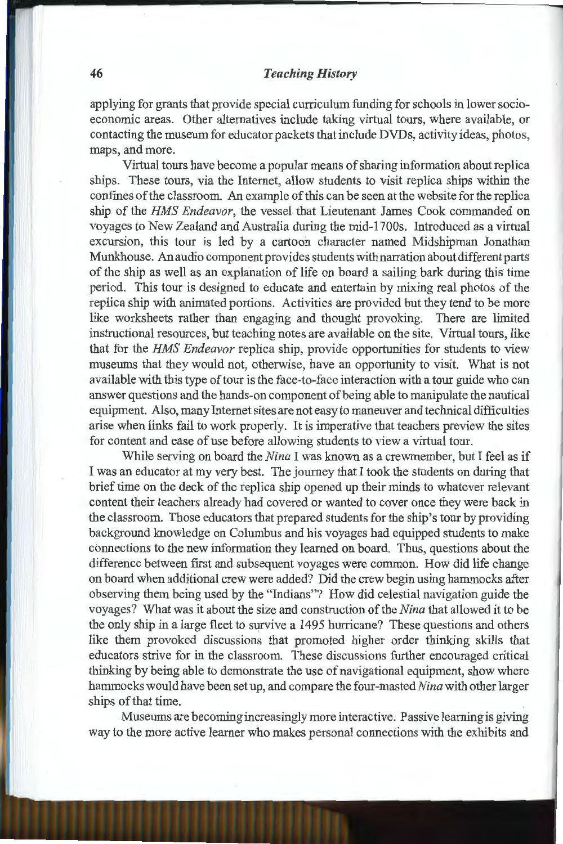### **46** *Teaching History*

applying for grants that provide special curriculum funding for schools in lower socioeconomic areas. Other alternatives include taking virtual tours, where available, or contacting the museum for educator packets that include DVDs, activity ideas, photos, maps, and more.

Virtual tours have become a popular means of sharing information about replica ships. These tours, via the Internet, allow students to visit replica ships within the confines of the classroom. An example of this can be seen at the website for the replica ship of the *HMS Endeavor,* the vessel that Lieutenant James Cook commanded on voyages to New Zealand and Australia during the mid-l 700s. Introduced as a virtual excursion, this tour is led by a cartoon character named Midshipman Jonathan Munkhouse. An audio component provides students with narration about different parts of the ship as well as an explanation of life on board a sailing bark during this time period. This tour is designed to educate and entertain by mixing real photos of the replica ship with animated portions. Activities are provided but they tend to be more like worksheets rather than engaging and thought provoking. There are limited instructional resources, but teaching notes are available on the site. Virtual tours, like that for the *HMS Endeavor* replica ship, provide opportunities for students to view museums that they would not, otherwise, have an opportunity to visit. What is not available with this type of tour is the face-to-face interaction with a tour guide who can answer questions and the hands-on component of being able to manipulate the nautical equipment. Also, many Internet sites are not easy to maneuver and technical difficulties arise when links fail to work properly. It is imperative that teachers preview the sites for content and ease of use before allowing students to view a virtual tour.

While serving on board the *Nina* I was known as a crewmember, but I feel as if I was an educator at my very best. The journey that I took the students on during that brief time on the deck of the replica ship opened up their minds to whatever relevant content their teachers already had covered or wanted to cover once they were back in the classroom. Those educators that prepared students for the ship's tour by providing background knowledge on Columbus and his voyages had equipped students to make connections to the new information they learned on board. Thus, questions about the difference between first and subsequent voyages were common. How did life change on board when additional crew were added? Did the crew begin using hammocks after observing them being used by the "Indians"? How did celestial navigation guide the voyages? What was it about the size and construction of the *Nina* that allowed it to be the only ship in a large fleet to survive a 1495 hurricane? These questions and others like them provoked discussions that promoted higher order thinking skills that educators strive for in the classroom. These discussions further encouraged critical thinking by being able to demonstrate the use of navigational equipment, show where hammocks would have been set up, and compare the four-masted *Nina* with other larger ships of that time.

Museums are becoming increasingly more interactive. Passive learning is giving way to the more active learner who makes personal connections with the exhibits and